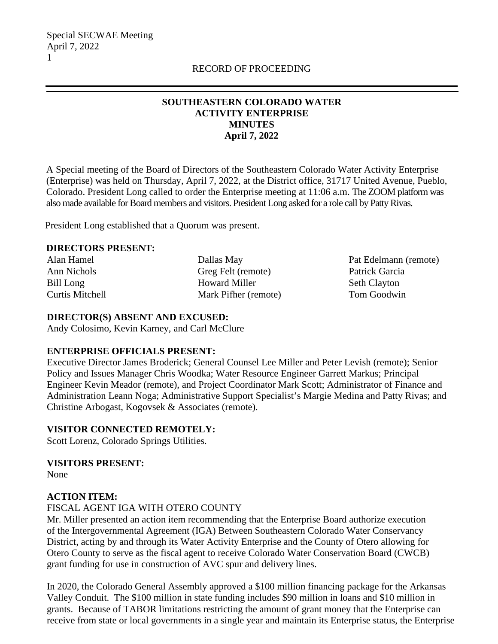# **SOUTHEASTERN COLORADO WATER ACTIVITY ENTERPRISE MINUTES April 7, 2022**

A Special meeting of the Board of Directors of the Southeastern Colorado Water Activity Enterprise (Enterprise) was held on Thursday, April 7, 2022, at the District office, 31717 United Avenue, Pueblo, Colorado. President Long called to order the Enterprise meeting at 11:06 a.m. The ZOOM platform was also made available for Board members and visitors. President Long asked for a role call by Patty Rivas.

President Long established that a Quorum was present.

#### **DIRECTORS PRESENT:**

Alan Hamel Ann Nichols Bill Long Curtis Mitchell Dallas May Greg Felt (remote) Howard Miller Mark Pifher (remote) Pat Edelmann (remote) Patrick Garcia Seth Clayton Tom Goodwin

### **DIRECTOR(S) ABSENT AND EXCUSED:**

Andy Colosimo, Kevin Karney, and Carl McClure

#### **ENTERPRISE OFFICIALS PRESENT:**

Executive Director James Broderick; General Counsel Lee Miller and Peter Levish (remote); Senior Policy and Issues Manager Chris Woodka; Water Resource Engineer Garrett Markus; Principal Engineer Kevin Meador (remote), and Project Coordinator Mark Scott; Administrator of Finance and Administration Leann Noga; Administrative Support Specialist's Margie Medina and Patty Rivas; and Christine Arbogast, Kogovsek & Associates (remote).

## **VISITOR CONNECTED REMOTELY:**

Scott Lorenz, Colorado Springs Utilities.

**VISITORS PRESENT:**

None

#### **ACTION ITEM:**

FISCAL AGENT IGA WITH OTERO COUNTY

Mr. Miller presented an action item recommending that the Enterprise Board authorize execution of the Intergovernmental Agreement (IGA) Between Southeastern Colorado Water Conservancy District, acting by and through its Water Activity Enterprise and the County of Otero allowing for Otero County to serve as the fiscal agent to receive Colorado Water Conservation Board (CWCB) grant funding for use in construction of AVC spur and delivery lines.

In 2020, the Colorado General Assembly approved a \$100 million financing package for the Arkansas Valley Conduit. The \$100 million in state funding includes \$90 million in loans and \$10 million in grants. Because of TABOR limitations restricting the amount of grant money that the Enterprise can receive from state or local governments in a single year and maintain its Enterprise status, the Enterprise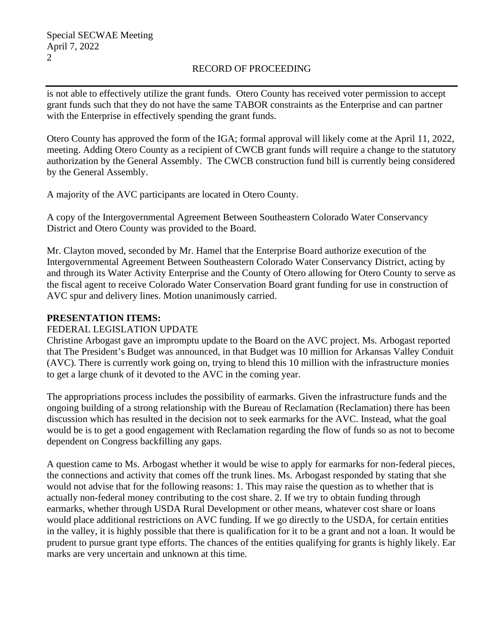# RECORD OF PROCEEDING

is not able to effectively utilize the grant funds. Otero County has received voter permission to accept grant funds such that they do not have the same TABOR constraints as the Enterprise and can partner with the Enterprise in effectively spending the grant funds.

Otero County has approved the form of the IGA; formal approval will likely come at the April 11, 2022, meeting. Adding Otero County as a recipient of CWCB grant funds will require a change to the statutory authorization by the General Assembly. The CWCB construction fund bill is currently being considered by the General Assembly.

A majority of the AVC participants are located in Otero County.

A copy of the Intergovernmental Agreement Between Southeastern Colorado Water Conservancy District and Otero County was provided to the Board.

Mr. Clayton moved, seconded by Mr. Hamel that the Enterprise Board authorize execution of the Intergovernmental Agreement Between Southeastern Colorado Water Conservancy District, acting by and through its Water Activity Enterprise and the County of Otero allowing for Otero County to serve as the fiscal agent to receive Colorado Water Conservation Board grant funding for use in construction of AVC spur and delivery lines. Motion unanimously carried.

# **PRESENTATION ITEMS:**

## FEDERAL LEGISLATION UPDATE

Christine Arbogast gave an impromptu update to the Board on the AVC project. Ms. Arbogast reported that The President's Budget was announced, in that Budget was 10 million for Arkansas Valley Conduit (AVC). There is currently work going on, trying to blend this 10 million with the infrastructure monies to get a large chunk of it devoted to the AVC in the coming year.

The appropriations process includes the possibility of earmarks. Given the infrastructure funds and the ongoing building of a strong relationship with the Bureau of Reclamation (Reclamation) there has been discussion which has resulted in the decision not to seek earmarks for the AVC. Instead, what the goal would be is to get a good engagement with Reclamation regarding the flow of funds so as not to become dependent on Congress backfilling any gaps.

A question came to Ms. Arbogast whether it would be wise to apply for earmarks for non-federal pieces, the connections and activity that comes off the trunk lines. Ms. Arbogast responded by stating that she would not advise that for the following reasons: 1. This may raise the question as to whether that is actually non-federal money contributing to the cost share. 2. If we try to obtain funding through earmarks, whether through USDA Rural Development or other means, whatever cost share or loans would place additional restrictions on AVC funding. If we go directly to the USDA, for certain entities in the valley, it is highly possible that there is qualification for it to be a grant and not a loan. It would be prudent to pursue grant type efforts. The chances of the entities qualifying for grants is highly likely. Ear marks are very uncertain and unknown at this time.